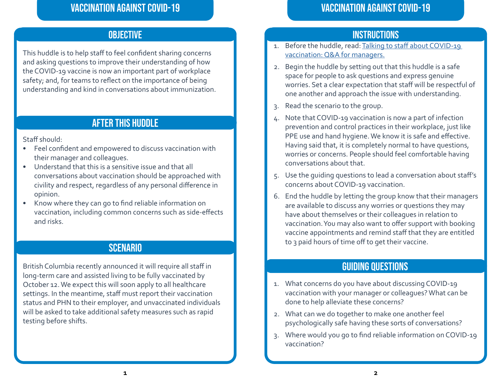# Vaccination Against COVID-19

This huddle is to help staff to feel confident sharing concerns and asking questions to improve their understanding of how the COVID-19 vaccine is now an important part of workplace safety; and, for teams to reflect on the importance of being understanding and kind in conversations about immunization.

# After This Huddle

Staff should:

- Feel confident and empowered to discuss vaccination with their manager and colleagues.
- Understand that this is a sensitive issue and that all conversations about vaccination should be approached with civility and respect, regardless of any personal difference in opinion.
- Know where they can go to find reliable information on vaccination, including common concerns such as side-effects and risks.

# **SCENARIO**

British Columbia recently announced it will require all staff in long-term care and assisted living to be fully vaccinated by October 12. We expect this will soon apply to all healthcare settings. In the meantime, staff must report their vaccination status and PHN to their employer, and unvaccinated individuals will be asked to take additional safety measures such as rapid testing before shifts.

# OBJECTIVE And the Instructions of the Instructions of the Instructions of the Instructions

- 1. Before the huddle, read: [Talking to staff about COVID-19](https://www.safecarebc.ca/wp-content/uploads/2021/08/Vaccine-FAQs-for-managers-1-Updated-Aug-31-2021.pdf)  [vaccination: Q&A for managers.](https://www.safecarebc.ca/wp-content/uploads/2021/08/Vaccine-FAQs-for-managers-1-Updated-Aug-31-2021.pdf)
- 2. Begin the huddle by setting out that this huddle is a safe space for people to ask questions and express genuine worries. Set a clear expectation that staff will be respectful of one another and approach the issue with understanding.
- 3. Read the scenario to the group.
- 4. Note that COVID-19 vaccination is now a part of infection prevention and control practices in their workplace, just like PPE use and hand hygiene. We know it is safe and effective. Having said that, it is completely normal to have questions, worries or concerns. People should feel comfortable having conversations about that.
- 5. Use the guiding questions to lead a conversation about staff's concerns about COVID-19 vaccination.
- 6. End the huddle by letting the group know that their managers are available to discuss any worries or questions they may have about themselves or their colleagues in relation to vaccination. You may also want to offer support with booking vaccine appointments and remind staff that they are entitled to 3 paid hours of time off to get their vaccine.

# Guiding Questions

- 1. What concerns do you have about discussing COVID-19 vaccination with your manager or colleagues? What can be done to help alleviate these concerns?
- 2. What can we do together to make one another feel psychologically safe having these sorts of conversations?
- 3. Where would you go to find reliable information on COVID-19 vaccination?